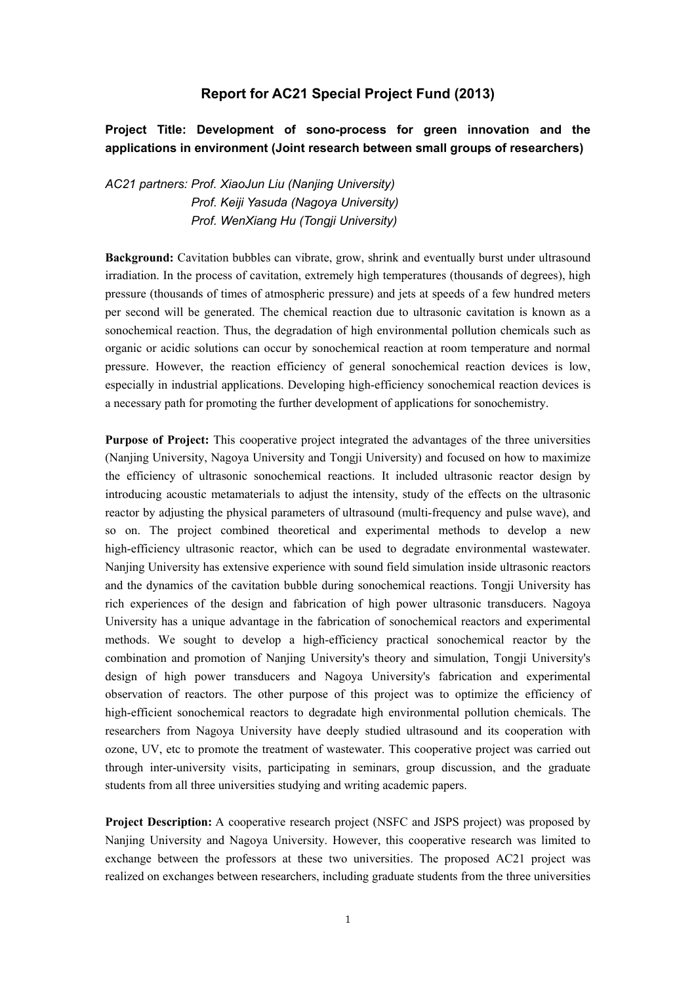## **Report for AC21 Special Project Fund (2013)**

## **Project Title: Development of sono-process for green innovation and the applications in environment (Joint research between small groups of researchers)**

*AC21 partners: Prof. XiaoJun Liu (Nanjing University) Prof. Keiji Yasuda (Nagoya University) Prof. WenXiang Hu (Tongji University)* 

**Background:** Cavitation bubbles can vibrate, grow, shrink and eventually burst under ultrasound irradiation. In the process of cavitation, extremely high temperatures (thousands of degrees), high pressure (thousands of times of atmospheric pressure) and jets at speeds of a few hundred meters per second will be generated. The chemical reaction due to ultrasonic cavitation is known as a sonochemical reaction. Thus, the degradation of high environmental pollution chemicals such as organic or acidic solutions can occur by sonochemical reaction at room temperature and normal pressure. However, the reaction efficiency of general sonochemical reaction devices is low, especially in industrial applications. Developing high-efficiency sonochemical reaction devices is a necessary path for promoting the further development of applications for sonochemistry.

**Purpose of Project:** This cooperative project integrated the advantages of the three universities (Nanjing University, Nagoya University and Tongji University) and focused on how to maximize the efficiency of ultrasonic sonochemical reactions. It included ultrasonic reactor design by introducing acoustic metamaterials to adjust the intensity, study of the effects on the ultrasonic reactor by adjusting the physical parameters of ultrasound (multi-frequency and pulse wave), and so on. The project combined theoretical and experimental methods to develop a new high-efficiency ultrasonic reactor, which can be used to degradate environmental wastewater. Nanjing University has extensive experience with sound field simulation inside ultrasonic reactors and the dynamics of the cavitation bubble during sonochemical reactions. Tongji University has rich experiences of the design and fabrication of high power ultrasonic transducers. Nagoya University has a unique advantage in the fabrication of sonochemical reactors and experimental methods. We sought to develop a high-efficiency practical sonochemical reactor by the combination and promotion of Nanjing University's theory and simulation, Tongji University's design of high power transducers and Nagoya University's fabrication and experimental observation of reactors. The other purpose of this project was to optimize the efficiency of high-efficient sonochemical reactors to degradate high environmental pollution chemicals. The researchers from Nagoya University have deeply studied ultrasound and its cooperation with ozone, UV, etc to promote the treatment of wastewater. This cooperative project was carried out through inter-university visits, participating in seminars, group discussion, and the graduate students from all three universities studying and writing academic papers.

**Project Description:** A cooperative research project (NSFC and JSPS project) was proposed by Nanjing University and Nagoya University. However, this cooperative research was limited to exchange between the professors at these two universities. The proposed AC21 project was realized on exchanges between researchers, including graduate students from the three universities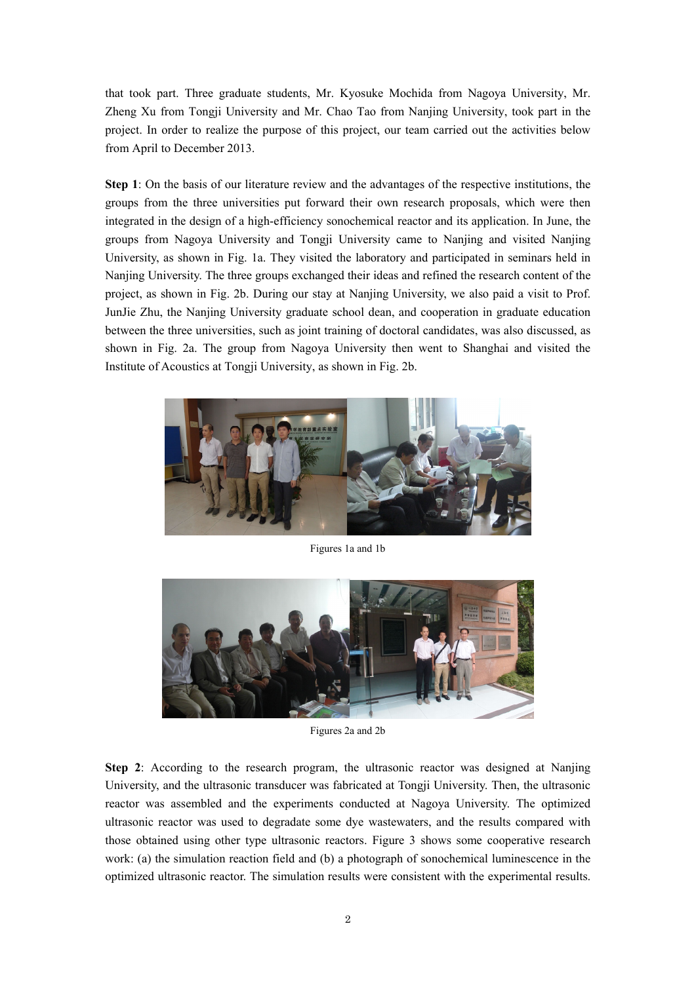that took part. Three graduate students, Mr. Kyosuke Mochida from Nagoya University, Mr. Zheng Xu from Tongji University and Mr. Chao Tao from Nanjing University, took part in the project. In order to realize the purpose of this project, our team carried out the activities below from April to December 2013.

**Step 1**: On the basis of our literature review and the advantages of the respective institutions, the groups from the three universities put forward their own research proposals, which were then integrated in the design of a high-efficiency sonochemical reactor and its application. In June, the groups from Nagoya University and Tongji University came to Nanjing and visited Nanjing University, as shown in Fig. 1a. They visited the laboratory and participated in seminars held in Nanjing University. The three groups exchanged their ideas and refined the research content of the project, as shown in Fig. 2b. During our stay at Nanjing University, we also paid a visit to Prof. JunJie Zhu, the Nanjing University graduate school dean, and cooperation in graduate education between the three universities, such as joint training of doctoral candidates, was also discussed, as shown in Fig. 2a. The group from Nagoya University then went to Shanghai and visited the Institute of Acoustics at Tongji University, as shown in Fig. 2b.



Figures 1a and 1b



Figures 2a and 2b

**Step 2**: According to the research program, the ultrasonic reactor was designed at Nanjing University, and the ultrasonic transducer was fabricated at Tongji University. Then, the ultrasonic reactor was assembled and the experiments conducted at Nagoya University. The optimized ultrasonic reactor was used to degradate some dye wastewaters, and the results compared with those obtained using other type ultrasonic reactors. Figure 3 shows some cooperative research work: (a) the simulation reaction field and (b) a photograph of sonochemical luminescence in the optimized ultrasonic reactor. The simulation results were consistent with the experimental results.